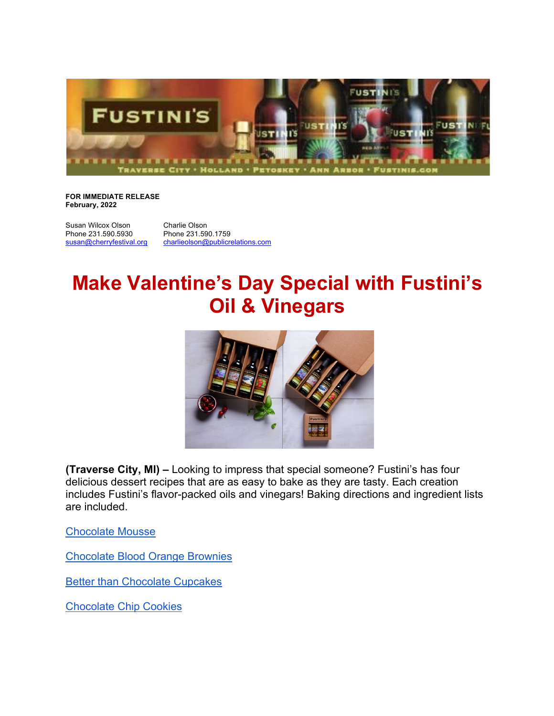

## **FOR IMMEDIATE RELEASE February, 2022**

Susan Wilcox Olson<br>
Phone 231.590.5930<br>
Phone 231.59

Phone 231.590.1759 susan@cherryfestival.org charlieolson@publicrelations.com

## **Make Valentine's Day Special with Fustini's Oil & Vinegars**



**(Traverse City, MI) –** Looking to impress that special someone? Fustini's has four delicious dessert recipes that are as easy to bake as they are tasty. Each creation includes Fustini's flavor-packed oils and vinegars! Baking directions and ingredient lists are included.

Chocolate Mousse

Chocolate Blood Orange Brownies

Better than Chocolate Cupcakes

Chocolate Chip Cookies